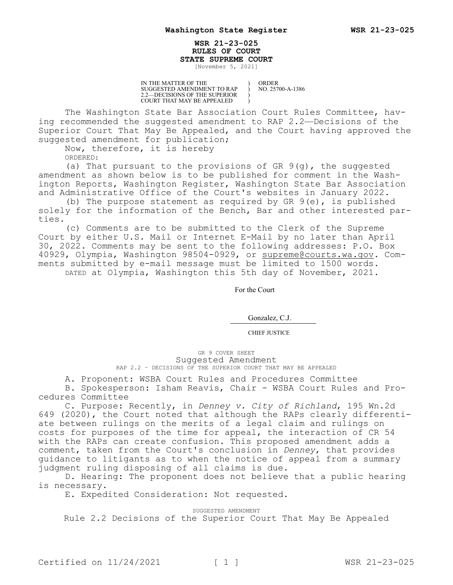## **WSR 21-23-025 RULES OF COURT STATE SUPREME COURT**

) ) ) )

[November 5, 2021]

IN THE MATTER OF THE SUGGESTED AMENDMENT TO RAP 2.2—DECISIONS OF THE SUPERIOR COURT THAT MAY BE APPEALED

ORDER NO. 25700-A-1386

The Washington State Bar Association Court Rules Committee, having recommended the suggested amendment to RAP 2.2—Decisions of the Superior Court That May Be Appealed, and the Court having approved the suggested amendment for publication;

Now, therefore, it is hereby

ORDERED:

(a) That pursuant to the provisions of GR 9(g), the suggested amendment as shown below is to be published for comment in the Washington Reports, Washington Register, Washington State Bar Association and Administrative Office of the Court's websites in January 2022.

(b) The purpose statement as required by GR  $9(e)$ , is published solely for the information of the Bench, Bar and other interested parties.

(c) Comments are to be submitted to the Clerk of the Supreme Court by either U.S. Mail or Internet E-Mail by no later than April 30, 2022. Comments may be sent to the following addresses: P.O. Box 40929, Olympia, Washington 98504-0929, or supreme@courts.wa.gov. Comments submitted by e-mail message must be limited to 1500 words. DATED at Olympia, Washington this 5th day of November, 2021.

For the Court

Gonzalez, C.J.

CHIEF JUSTICE

GR 9 COVER SHEET Suggested Amendment RAP 2.2 - DECISIONS OF THE SUPERIOR COURT THAT MAY BE APPEALED

A. Proponent: WSBA Court Rules and Procedures Committee B. Spokesperson: Isham Reavis, Chair - WSBA Court Rules and Procedures Committee

C. Purpose: Recently, in *Denney v. City of Richland*, 195 Wn.2d 649 (2020), the Court noted that although the RAPs clearly differentiate between rulings on the merits of a legal claim and rulings on costs for purposes of the time for appeal, the interaction of CR 54 with the RAPs can create confusion. This proposed amendment adds a comment, taken from the Court's conclusion in *Denney*, that provides guidance to litigants as to when the notice of appeal from a summary judgment ruling disposing of all claims is due.

D. Hearing: The proponent does not believe that a public hearing is necessary.

E. Expedited Consideration: Not requested.

SUGGESTED AMENDMENT

Rule 2.2 Decisions of the Superior Court That May Be Appealed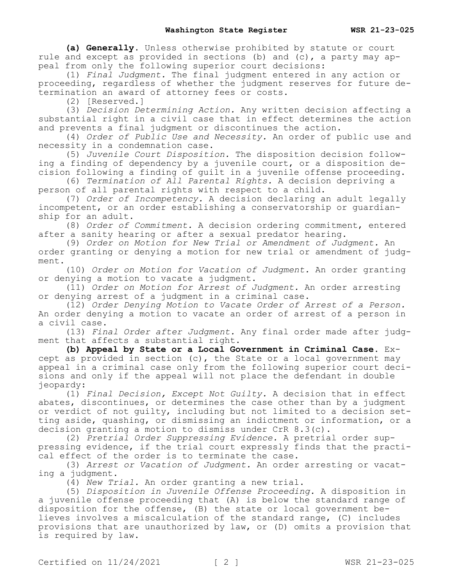**(a) Generally.** Unless otherwise prohibited by statute or court rule and except as provided in sections (b) and  $(c)$ , a party may appeal from only the following superior court decisions:

(1) *Final Judgment.* The final judgment entered in any action or proceeding, regardless of whether the judgment reserves for future determination an award of attorney fees or costs.

(2) [Reserved.]

(3) *Decision Determining Action.* Any written decision affecting a substantial right in a civil case that in effect determines the action and prevents a final judgment or discontinues the action.

(4) *Order of Public Use and Necessity.* An order of public use and necessity in a condemnation case.

(5) *Juvenile Court Disposition.* The disposition decision following a finding of dependency by a juvenile court, or a disposition decision following a finding of guilt in a juvenile offense proceeding.

(6) *Termination of All Parental Rights.* A decision depriving a person of all parental rights with respect to a child.

(7) *Order of Incompetency.* A decision declaring an adult legally incompetent, or an order establishing a conservatorship or guardianship for an adult.

(8) *Order of Commitment.* A decision ordering commitment, entered after a sanity hearing or after a sexual predator hearing.

(9) *Order on Motion for New Trial or Amendment of Judgment.* An order granting or denying a motion for new trial or amendment of judgment.

(10) *Order on Motion for Vacation of Judgment.* An order granting or denying a motion to vacate a judgment.

(11) *Order on Motion for Arrest of Judgment.* An order arresting or denying arrest of a judgment in a criminal case.

(12) *Order Denying Motion to Vacate Order of Arrest of a Person.*  An order denying a motion to vacate an order of arrest of a person in a civil case.

(13) *Final Order after Judgment.* Any final order made after judgment that affects a substantial right.

**(b) Appeal by State or a Local Government in Criminal Case.** Except as provided in section (c), the State or a local government may appeal in a criminal case only from the following superior court decisions and only if the appeal will not place the defendant in double jeopardy:

(1) *Final Decision, Except Not Guilty.* A decision that in effect abates, discontinues, or determines the case other than by a judgment or verdict of not guilty, including but not limited to a decision setting aside, quashing, or dismissing an indictment or information, or a decision granting a motion to dismiss under CrR 8.3(c).

(2) *Pretrial Order Suppressing Evidence.* A pretrial order suppressing evidence, if the trial court expressly finds that the practical effect of the order is to terminate the case.

(3) *Arrest or Vacation of Judgment.* An order arresting or vacating a judgment.

(4) *New Trial.* An order granting a new trial.

(5) *Disposition in Juvenile Offense Proceeding.* A disposition in a juvenile offense proceeding that (A) is below the standard range of disposition for the offense, (B) the state or local government believes involves a miscalculation of the standard range, (C) includes provisions that are unauthorized by law, or (D) omits a provision that is required by law.